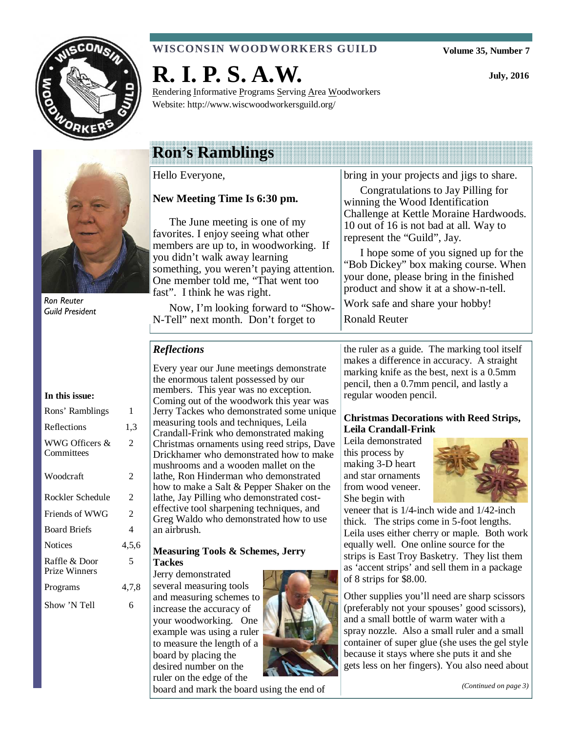

### **WISCONSIN WOODWORKERS GUILD**

**Volume 35, Number 7** 

**July, 2016** 



Ron Reuter Guild President

### **In this issue:**

| Rons' Ramblings                       | 1     |
|---------------------------------------|-------|
| Reflections                           | 1,3   |
| WWG Officers &<br>Committees          | 2     |
| Woodcraft                             | 2     |
| Rockler Schedule                      | 2     |
| Friends of WWG                        | 2     |
| <b>Board Briefs</b>                   | 4     |
| <b>Notices</b>                        | 4,5,6 |
| Raffle & Door<br><b>Prize Winners</b> | 5     |
| Programs                              | 4,7,8 |
| Show 'N Tell                          | 6     |

# **R. I. P. S. A.W.**

Rendering Informative Programs Serving Area Woodworkers Website: http://www.wiscwoodworkersguild.org/

# **Ron's Ramblings**

Hello Everyone,

### **New Meeting Time Is 6:30 pm.**

The June meeting is one of my favorites. I enjoy seeing what other members are up to, in woodworking. If you didn't walk away learning something, you weren't paying attention. One member told me, "That went too fast". I think he was right.

Now, I'm looking forward to "Show-N-Tell" next month. Don't forget to

bring in your projects and jigs to share.

Congratulations to Jay Pilling for winning the Wood Identification Challenge at Kettle Moraine Hardwoods. 10 out of 16 is not bad at all. Way to represent the "Guild", Jay.

I hope some of you signed up for the "Bob Dickey" box making course. When your done, please bring in the finished product and show it at a show-n-tell.

Work safe and share your hobby!

Ronald Reuter

### *Reflections*

Every year our June meetings demonstrate the enormous talent possessed by our members. This year was no exception. Coming out of the woodwork this year was Jerry Tackes who demonstrated some unique measuring tools and techniques, Leila Crandall-Frink who demonstrated making Christmas ornaments using reed strips, Dave Drickhamer who demonstrated how to make mushrooms and a wooden mallet on the lathe, Ron Hinderman who demonstrated how to make a Salt & Pepper Shaker on the lathe, Jay Pilling who demonstrated costeffective tool sharpening techniques, and Greg Waldo who demonstrated how to use an airbrush.

### **Measuring Tools & Schemes, Jerry Tackes**

Jerry demonstrated several measuring tools and measuring schemes to increase the accuracy of your woodworking. One example was using a ruler to measure the length of a board by placing the desired number on the ruler on the edge of the



board and mark the board using the end of

the ruler as a guide. The marking tool itself makes a difference in accuracy. A straight marking knife as the best, next is a 0.5mm pencil, then a 0.7mm pencil, and lastly a regular wooden pencil.

### **Christmas Decorations with Reed Strips, Leila Crandall-Frink**

Leila demonstrated this process by making 3-D heart and star ornaments from wood veneer. She begin with



veneer that is 1/4-inch wide and 1/42-inch thick. The strips come in 5-foot lengths. Leila uses either cherry or maple. Both work equally well. One online source for the strips is East Troy Basketry. They list them as 'accent strips' and sell them in a package of 8 strips for \$8.00.

Other supplies you'll need are sharp scissors (preferably not your spouses' good scissors), and a small bottle of warm water with a spray nozzle. Also a small ruler and a small container of super glue (she uses the gel style because it stays where she puts it and she gets less on her fingers). You also need about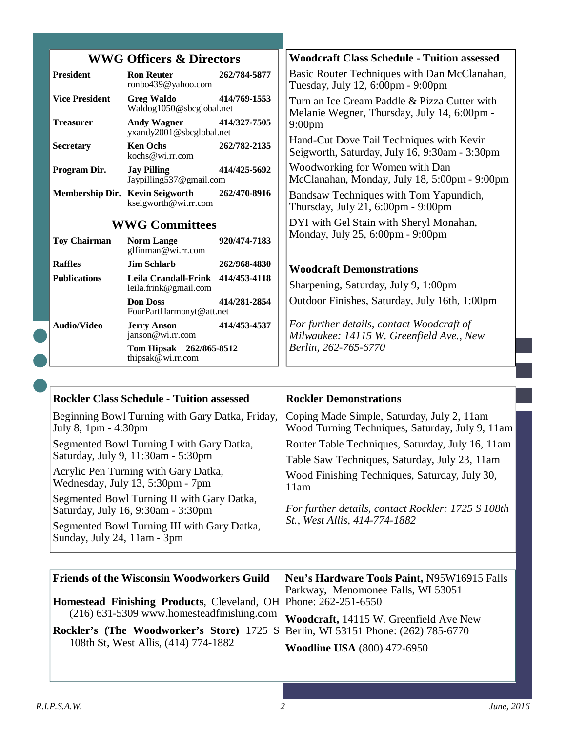| <b>WWG Officers &amp; Directors</b> |                                                            |              | <b>Woodcraft Class Schedule - Tuition assessed</b>                                          |
|-------------------------------------|------------------------------------------------------------|--------------|---------------------------------------------------------------------------------------------|
| <b>President</b>                    | <b>Ron Reuter</b><br>ronbo439@yahoo.com                    | 262/784-5877 | Basic Router Techniques with Dan McClanahan,<br>Tuesday, July 12, 6:00pm - 9:00pm           |
| <b>Vice President</b>               | <b>Greg Waldo</b><br>Waldog1050@sbcglobal.net              | 414/769-1553 | Turn an Ice Cream Paddle & Pizza Cutter with<br>Melanie Wegner, Thursday, July 14, 6:00pm - |
| <b>Treasurer</b>                    | <b>Andy Wagner</b><br>yxandy2001@sbcglobal.net             | 414/327-7505 | $9:00$ pm                                                                                   |
| <b>Secretary</b>                    | <b>Ken Ochs</b><br>kochs@wi.rr.com                         | 262/782-2135 | Hand-Cut Dove Tail Techniques with Kevin<br>Seigworth, Saturday, July 16, 9:30am - 3:30pm   |
| Program Dir.                        | <b>Jay Pilling</b><br>Jaypilling537@gmail.com              | 414/425-5692 | Woodworking for Women with Dan<br>McClanahan, Monday, July 18, 5:00pm - 9:00pm              |
| Membership Dir. Kevin Seigworth     | kseigworth@wi.rr.com                                       | 262/470-8916 | Bandsaw Techniques with Tom Yapundich,<br>Thursday, July 21, 6:00pm - 9:00pm                |
| <b>WWG Committees</b>               |                                                            |              | DYI with Gel Stain with Sheryl Monahan,                                                     |
| <b>Toy Chairman</b>                 | <b>Norm Lange</b><br>glfinman@wi.rr.com                    | 920/474-7183 | Monday, July 25, 6:00pm - 9:00pm                                                            |
| <b>Raffles</b>                      | <b>Jim Schlarb</b>                                         | 262/968-4830 | <b>Woodcraft Demonstrations</b>                                                             |
| <b>Publications</b>                 | Leila Crandall-Frink 414/453-4118<br>leila.frink@gmail.com |              | Sharpening, Saturday, July 9, 1:00pm                                                        |
|                                     | <b>Don Doss</b><br>FourPartHarmonyt@att.net                | 414/281-2854 | Outdoor Finishes, Saturday, July 16th, 1:00pm                                               |
| <b>Audio/Video</b>                  | <b>Jerry Anson</b><br>janson@wi.rr.com                     | 414/453-4537 | For further details, contact Woodcraft of<br>Milwaukee: 14115 W. Greenfield Ave., New       |
|                                     | Tom Hipsak 262/865-8512<br>thipsak@wi.rr.com               |              | Berlin, 262-765-6770                                                                        |

| <b>Rockler Class Schedule - Tuition assessed</b>                                 | <b>Rockler Demonstrations</b>                      |
|----------------------------------------------------------------------------------|----------------------------------------------------|
| Beginning Bowl Turning with Gary Datka, Friday,                                  | Coping Made Simple, Saturday, July 2, 11am         |
| July 8, 1pm - 4:30pm                                                             | Wood Turning Techniques, Saturday, July 9, 11am    |
| Segmented Bowl Turning I with Gary Datka,                                        | Router Table Techniques, Saturday, July 16, 11am   |
| Saturday, July 9, 11:30am - 5:30pm                                               | Table Saw Techniques, Saturday, July 23, 11am      |
| Acrylic Pen Turning with Gary Datka,                                             | Wood Finishing Techniques, Saturday, July 30,      |
| Wednesday, July 13, 5:30pm - 7pm                                                 | 11am                                               |
| Segmented Bowl Turning II with Gary Datka,<br>Saturday, July 16, 9:30am - 3:30pm | For further details, contact Rockler: 1725 S 108th |
| Segmented Bowl Turning III with Gary Datka,<br>Sunday, July 24, 11am - 3pm       | St., West Allis, 414-774-1882                      |

| <b>Friends of the Wisconsin Woodworkers Guild</b>                                         | Neu's Hardware Tools Paint, N95W16915 Falls |
|-------------------------------------------------------------------------------------------|---------------------------------------------|
|                                                                                           | Parkway, Menomonee Falls, WI 53051          |
| <b>Homestead Finishing Products, Cleveland, OH Phone: 262-251-6550</b>                    |                                             |
| $(216)$ 631-5309 www.homesteadfinishing.com                                               | Woodcraft, 14115 W. Greenfield Ave New      |
| <b>Rockler's (The Woodworker's Store)</b> 1725 S Berlin, WI 53151 Phone: $(262)$ 785-6770 |                                             |
| 108th St, West Allis, (414) 774-1882                                                      | <b>Woodline USA</b> (800) 472-6950          |
|                                                                                           |                                             |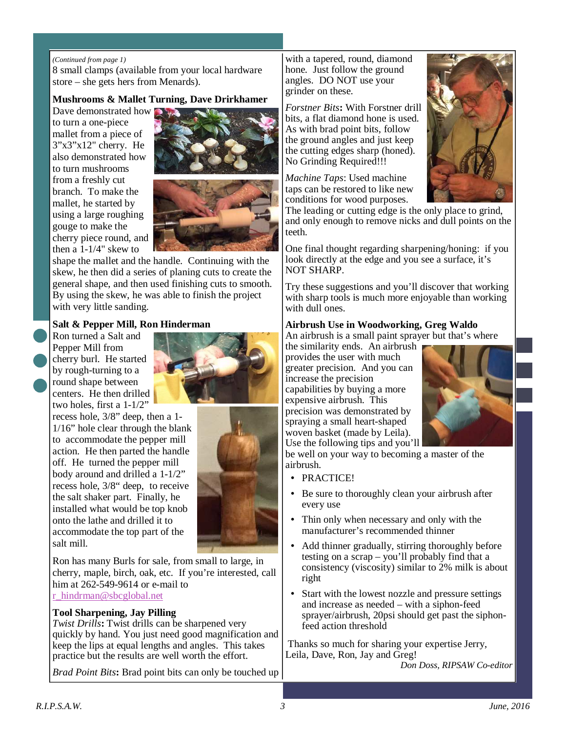### *(Continued from page 1)*

8 small clamps (available from your local hardware store – she gets hers from Menards).

### **Mushrooms & Mallet Turning, Dave Drirkhamer**

Dave demonstrated how  $\Box$ to turn a one-piece mallet from a piece of 3"x3"x12" cherry. He also demonstrated how to turn mushrooms from a freshly cut branch. To make the mallet, he started by using a large roughing gouge to make the cherry piece round, and then a 1-1/4" skew to





shape the mallet and the handle. Continuing with the skew, he then did a series of planing cuts to create the general shape, and then used finishing cuts to smooth. By using the skew, he was able to finish the project with very little sanding.

### **Salt & Pepper Mill, Ron Hinderman**

Ron turned a Salt and Pepper Mill from cherry burl. He started by rough-turning to a round shape between centers. He then drilled two holes, first a 1-1/2"

recess hole, 3/8" deep, then a 1- 1/16" hole clear through the blank to accommodate the pepper mill action. He then parted the handle off. He turned the pepper mill body around and drilled a 1-1/2" recess hole, 3/8" deep, to receive the salt shaker part. Finally, he installed what would be top knob onto the lathe and drilled it to accommodate the top part of the salt mill.

Ron has many Burls for sale, from small to large, in cherry, maple, birch, oak, etc. If you're interested, call him at 262-549-9614 or e-mail to r\_hindrman@sbcglobal.net

### **Tool Sharpening, Jay Pilling**

*Twist Drills***:** Twist drills can be sharpened very quickly by hand. You just need good magnification and keep the lips at equal lengths and angles. This takes practice but the results are well worth the effort.

*Brad Point Bits***:** Brad point bits can only be touched up

with a tapered, round, diamond hone. Just follow the ground angles. DO NOT use your grinder on these.

*Forstner Bits***:** With Forstner drill bits, a flat diamond hone is used. As with brad point bits, follow the ground angles and just keep the cutting edges sharp (honed). No Grinding Required!!!

*Machine Taps*: Used machine taps can be restored to like new conditions for wood purposes.



The leading or cutting edge is the only place to grind, and only enough to remove nicks and dull points on the teeth.

One final thought regarding sharpening/honing: if you look directly at the edge and you see a surface, it's NOT SHARP.

Try these suggestions and you'll discover that working with sharp tools is much more enjoyable than working with dull ones.

### **Airbrush Use in Woodworking, Greg Waldo**

An airbrush is a small paint sprayer but that's where the similarity ends. An airbrush

provides the user with much greater precision. And you can increase the precision capabilities by buying a more expensive airbrush. This precision was demonstrated by spraying a small heart-shaped woven basket (made by Leila). Use the following tips and you'll



be well on your way to becoming a master of the airbrush.

- PRACTICE!
- Be sure to thoroughly clean your airbrush after every use
- Thin only when necessary and only with the manufacturer's recommended thinner
- Add thinner gradually, stirring thoroughly before testing on a scrap – you'll probably find that a consistency (viscosity) similar to 2% milk is about right
- Start with the lowest nozzle and pressure settings and increase as needed – with a siphon-feed sprayer/airbrush, 20psi should get past the siphonfeed action threshold

 Thanks so much for sharing your expertise Jerry, Leila, Dave, Ron, Jay and Greg!

*Don Doss, RIPSAW Co-editor*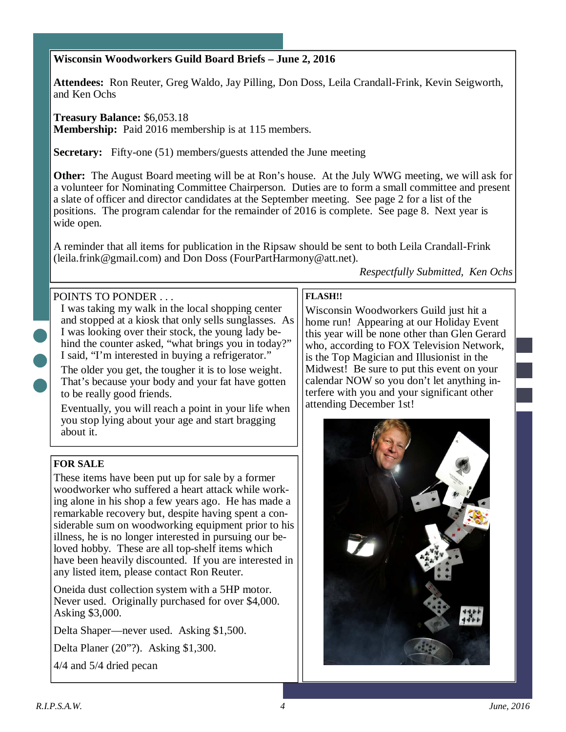### **Wisconsin Woodworkers Guild Board Briefs – June 2, 2016**

**Attendees:** Ron Reuter, Greg Waldo, Jay Pilling, Don Doss, Leila Crandall-Frink, Kevin Seigworth, and Ken Ochs

**Treasury Balance:** \$6,053.18

**Membership:** Paid 2016 membership is at 115 members.

**Secretary:** Fifty-one (51) members/guests attended the June meeting

**Other:** The August Board meeting will be at Ron's house. At the July WWG meeting, we will ask for a volunteer for Nominating Committee Chairperson. Duties are to form a small committee and present a slate of officer and director candidates at the September meeting. See page 2 for a list of the positions. The program calendar for the remainder of 2016 is complete. See page 8. Next year is wide open.

A reminder that all items for publication in the Ripsaw should be sent to both Leila Crandall-Frink (leila.frink@gmail.com) and Don Doss (FourPartHarmony@att.net).

### POINTS TO PONDER

I was taking my walk in the local shopping center and stopped at a kiosk that only sells sunglasses. As I was looking over their stock, the young lady behind the counter asked, "what brings you in today?" I said, "I'm interested in buying a refrigerator."

The older you get, the tougher it is to lose weight. That's because your body and your fat have gotten to be really good friends.

Eventually, you will reach a point in your life when you stop lying about your age and start bragging about it.

### **FOR SALE**

These items have been put up for sale by a former woodworker who suffered a heart attack while working alone in his shop a few years ago. He has made a remarkable recovery but, despite having spent a considerable sum on woodworking equipment prior to his illness, he is no longer interested in pursuing our beloved hobby. These are all top-shelf items which have been heavily discounted. If you are interested in any listed item, please contact Ron Reuter.

Oneida dust collection system with a 5HP motor. Never used. Originally purchased for over \$4,000. Asking \$3,000.

Delta Shaper—never used. Asking \$1,500.

Delta Planer (20"?). Asking \$1,300.

4/4 and 5/4 dried pecan

### **FLASH!!**

Wisconsin Woodworkers Guild just hit a home run! Appearing at our Holiday Event this year will be none other than Glen Gerard who, according to FOX Television Network, is the Top Magician and Illusionist in the Midwest! Be sure to put this event on your calendar NOW so you don't let anything interfere with you and your significant other attending December 1st!

*Respectfully Submitted, Ken Ochs* 

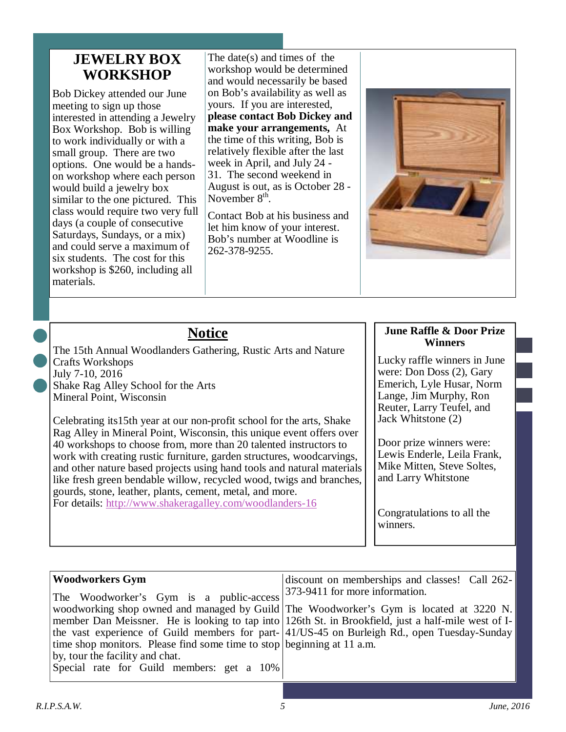### **JEWELRY BOX WORKSHOP**

Bob Dickey attended our June meeting to sign up those interested in attending a Jewelry Box Workshop. Bob is willing to work individually or with a small group. There are two options. One would be a handson workshop where each person would build a jewelry box similar to the one pictured. This class would require two very full days (a couple of consecutive Saturdays, Sundays, or a mix) and could serve a maximum of six students. The cost for this workshop is \$260, including all materials.

The date(s) and times of the workshop would be determined and would necessarily be based on Bob's availability as well as yours. If you are interested, **please contact Bob Dickey and make your arrangements,** At the time of this writing, Bob is relatively flexible after the last week in April, and July 24 - 31. The second weekend in August is out, as is October 28 - November 8<sup>th</sup> .

Contact Bob at his business and let him know of your interest. Bob's number at Woodline is 262-378-9255.



## **Notice**

The 15th Annual Woodlanders Gathering, Rustic Arts and Nature Crafts Workshops July 7-10, 2016 Shake Rag Alley School for the Arts Mineral Point, Wisconsin

Celebrating its15th year at our non-profit school for the arts, Shake Rag Alley in Mineral Point, Wisconsin, this unique event offers over 40 workshops to choose from, more than 20 talented instructors to work with creating rustic furniture, garden structures, woodcarvings, and other nature based projects using hand tools and natural materials like fresh green bendable willow, recycled wood, twigs and branches, gourds, stone, leather, plants, cement, metal, and more. For details: http://www.shakeragalley.com/woodlanders-16

### **June Raffle & Door Prize Winners**

Lucky raffle winners in June were: Don Doss (2), Gary Emerich, Lyle Husar, Norm Lange, Jim Murphy, Ron Reuter, Larry Teufel, and Jack Whitstone (2)

Door prize winners were: Lewis Enderle, Leila Frank, Mike Mitten, Steve Soltes, and Larry Whitstone

Congratulations to all the winners.

| Woodworkers Gym                                                        | discount on memberships and classes! Call 262-                                                              |
|------------------------------------------------------------------------|-------------------------------------------------------------------------------------------------------------|
| The Woodworker's Gym is a public-access                                | 373-9411 for more information.                                                                              |
|                                                                        | woodworking shop owned and managed by Guild The Woodworker's Gym is located at 3220 N.                      |
|                                                                        | member Dan Meissner. He is looking to tap into 126th St. in Brookfield, just a half-mile west of I-         |
|                                                                        | the vast experience of Guild members for part- $\vert 41/\text{US}-45$ on Burleigh Rd., open Tuesday-Sunday |
| time shop monitors. Please find some time to stop beginning at 11 a.m. |                                                                                                             |
| by, tour the facility and chat.                                        |                                                                                                             |
| Special rate for Guild members: get a 10%                              |                                                                                                             |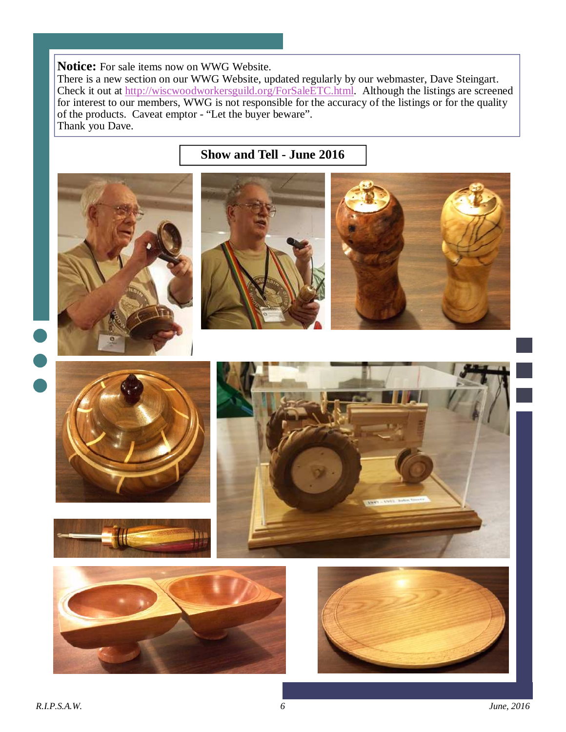**Notice:** For sale items now on WWG Website.

There is a new section on our WWG Website, updated regularly by our webmaster, Dave Steingart. Check it out at http://wiscwoodworkersguild.org/ForSaleETC.html. Although the listings are screened for interest to our members, WWG is not responsible for the accuracy of the listings or for the quality of the products. Caveat emptor - "Let the buyer beware". Thank you Dave.

# **Show and Tell - June 2016**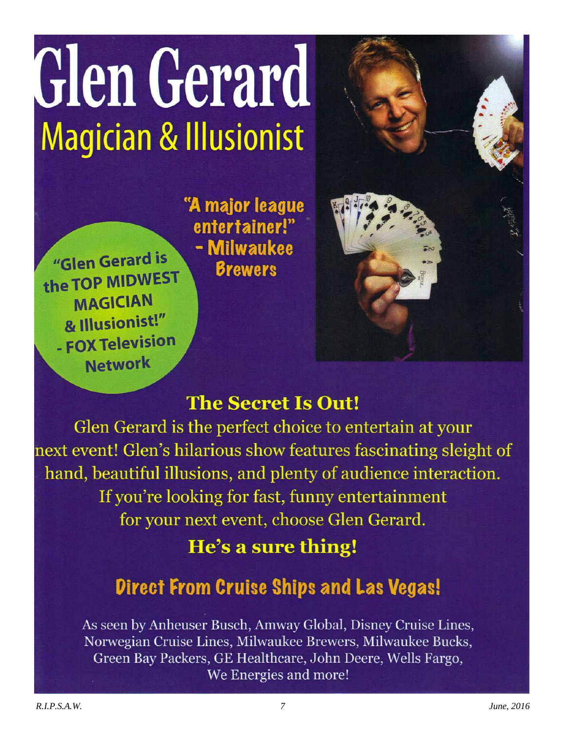# Glen Gerard **Magician & Illusionist**

"Glen Gerard is the TOP MIDWEST **MAGICIAN** & Illusionist!" - FOX Television **Network** 

"A major league entertainer!" - Milwaukee **Brewers** 

# **The Secret Is Out!**

Glen Gerard is the perfect choice to entertain at your next event! Glen's hilarious show features fascinating sleight of hand, beautiful illusions, and plenty of audience interaction. If you're looking for fast, funny entertainment for your next event, choose Glen Gerard.

# He's a sure thing!

# **Direct From Cruise Ships and Las Vegas!**

As seen by Anheuser Busch, Amway Global, Disney Cruise Lines, Norwegian Cruise Lines, Milwaukee Brewers, Milwaukee Bucks, Green Bay Packers, GE Healthcare, John Deere, Wells Fargo, We Energies and more!